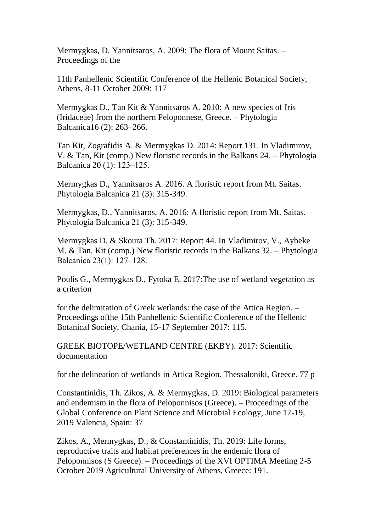Mermygkas, D. Yannitsaros, A. 2009: The flora of Mount Saitas. – Proceedings of the

11th Panhellenic Scientific Conference of the Hellenic Botanical Society, Athens, 8-11 October 2009: 117

Mermygkas D., Tan Kit & Yannitsaros A. 2010: A new species of Iris (Iridaceae) from the northern Peloponnese, Greece. – Phytologia Balcanica16 (2): 263–266.

Tan Kit, Zografidis A. & Mermygkas D. 2014: Report 131. In Vladimirov, V. & Tan, Kit (comp.) New floristic records in the Balkans 24. – Phytologia Balcanica 20 (1): 123-125.

Mermygkas D., Yannitsaros A. 2016. A floristic report from Mt. Saitas. Phytologia Balcanica 21 (3): 315-349.

Mermygkas, D., Yannitsaros, A. 2016: A floristic report from Mt. Saitas. – Phytologia Balcanica 21 (3): 315-349.

Mermygkas D. & Skoura Th. 2017: Report 44. In Vladimirov, V., Aybeke M. & Tan, Kit (comp.) New floristic records in the Balkans 32. – Phytologia Balcanica 23(1): 127‒128.

Poulis G., Mermygkas D., Fytoka E. 2017:The use of wetland vegetation as a criterion

for the delimitation of Greek wetlands: the case of the Attica Region. – Proceedings ofthe 15th Panhellenic Scientific Conference of the Hellenic Botanical Society, Chania, 15-17 September 2017: 115.

GREEK BIOTOPE/WETLAND CENTRE (EKBY). 2017: Scientific documentation

for the delineation of wetlands in Attica Region. Thessaloniki, Greece. 77 p

Constantinidis, Th. Zikos, A. & Mermygkas, D. 2019: Biological parameters and endemism in the flora of Peloponnisos (Greece). – Proceedings of the Global Conference on Plant Science and Microbial Ecology, June 17-19, 2019 Valencia, Spain: 37

Zikos, A., Mermygkas, D., & Constantinidis, Th. 2019: Life forms, reproductive traits and habitat preferences in the endemic flora of Peloponnisos (S Greece). – Proceedings of the XVI OPTIMA Meeting 2-5 October 2019 Agricultural University of Athens, Greece: 191.